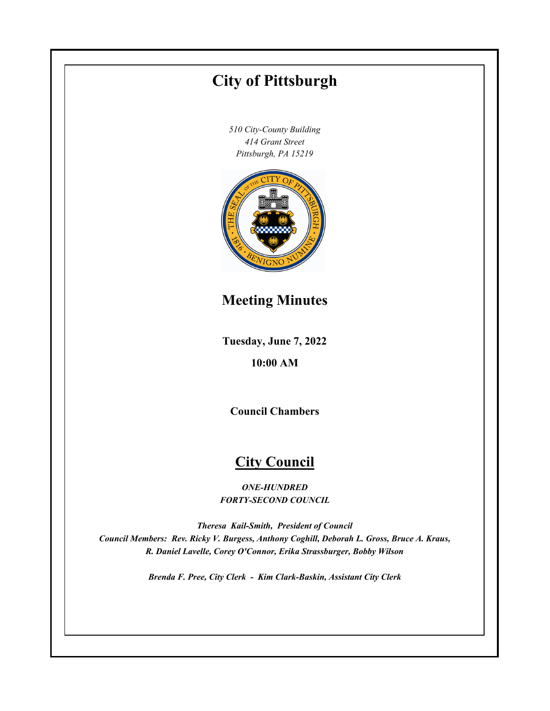# **Tuesday, June 7, 2022 10:00 AM City of Pittsburgh** *510 City-County Building 414 Grant Street Pittsburgh, PA 15219* **Council Chambers City Council** *ONE-HUNDRED FORTY-SECOND COUNCIL Theresa Kail-Smith, President of Council Council Members: Rev. Ricky V. Burgess, Anthony Coghill, Deborah L. Gross, Bruce A. Kraus, R. Daniel Lavelle, Corey O'Connor, Erika Strassburger, Bobby Wilson Brenda F. Pree, City Clerk - Kim Clark-Baskin, Assistant City Clerk* **Meeting Minutes**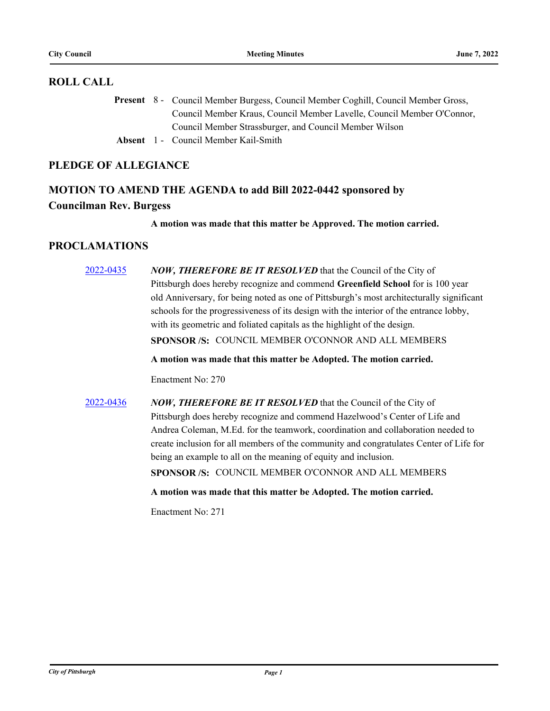#### **ROLL CALL**

Present 8 - Council Member Burgess, Council Member Coghill, Council Member Gross, Council Member Kraus, Council Member Lavelle, Council Member O'Connor, Council Member Strassburger, and Council Member Wilson

**Absent** 1 - Council Member Kail-Smith

## **PLEDGE OF ALLEGIANCE**

# **MOTION TO AMEND THE AGENDA to add Bill 2022-0442 sponsored by Councilman Rev. Burgess**

**A motion was made that this matter be Approved. The motion carried.**

## **PROCLAMATIONS**

[2022-0435](http://pittsburgh.legistar.com/gateway.aspx?m=l&id=/matter.aspx?key=27818) *NOW, THEREFORE BE IT RESOLVED* that the Council of the City of Pittsburgh does hereby recognize and commend **Greenfield School** for is 100 year old Anniversary, for being noted as one of Pittsburgh's most architecturally significant schools for the progressiveness of its design with the interior of the entrance lobby, with its geometric and foliated capitals as the highlight of the design. **SPONSOR /S:** COUNCIL MEMBER O'CONNOR AND ALL MEMBERS

**A motion was made that this matter be Adopted. The motion carried.**

Enactment No: 270

[2022-0436](http://pittsburgh.legistar.com/gateway.aspx?m=l&id=/matter.aspx?key=27819) *NOW, THEREFORE BE IT RESOLVED* that the Council of the City of Pittsburgh does hereby recognize and commend Hazelwood's Center of Life and Andrea Coleman, M.Ed. for the teamwork, coordination and collaboration needed to create inclusion for all members of the community and congratulates Center of Life for being an example to all on the meaning of equity and inclusion.

**SPONSOR /S:** COUNCIL MEMBER O'CONNOR AND ALL MEMBERS

**A motion was made that this matter be Adopted. The motion carried.**

Enactment No: 271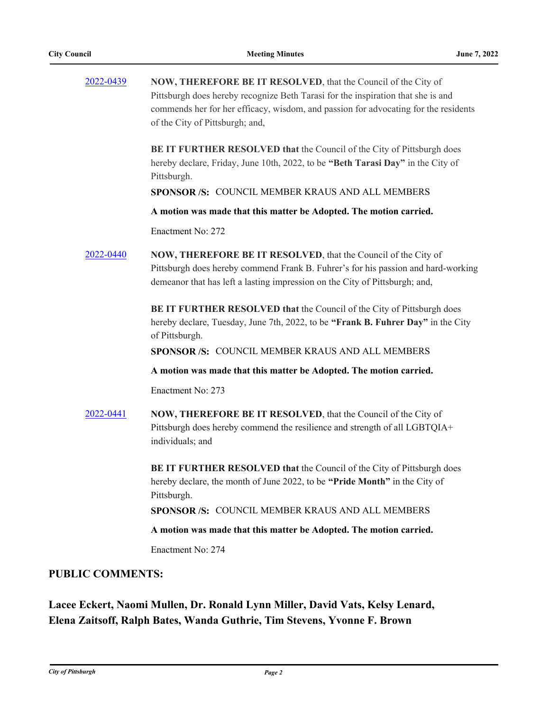| 2022-0439 | NOW, THEREFORE BE IT RESOLVED, that the Council of the City of                                                                                            |
|-----------|-----------------------------------------------------------------------------------------------------------------------------------------------------------|
|           | Pittsburgh does hereby recognize Beth Tarasi for the inspiration that she is and                                                                          |
|           | commends her for her efficacy, wisdom, and passion for advocating for the residents                                                                       |
|           | of the City of Pittsburgh; and,                                                                                                                           |
|           | BE IT FURTHER RESOLVED that the Council of the City of Pittsburgh does<br>hereby declare, Friday, June 10th, 2022, to be "Beth Tarasi Day" in the City of |
|           | Pittsburgh.                                                                                                                                               |
|           | SPONSOR /S: COUNCIL MEMBER KRAUS AND ALL MEMBERS                                                                                                          |
|           | A motion was made that this matter be Adopted. The motion carried.                                                                                        |
|           | Enactment No: 272                                                                                                                                         |
| 2022-0440 | NOW, THEREFORE BE IT RESOLVED, that the Council of the City of                                                                                            |
|           | Pittsburgh does hereby commend Frank B. Fuhrer's for his passion and hard-working                                                                         |
|           | demeanor that has left a lasting impression on the City of Pittsburgh; and,                                                                               |
|           | BE IT FURTHER RESOLVED that the Council of the City of Pittsburgh does                                                                                    |
|           | hereby declare, Tuesday, June 7th, 2022, to be "Frank B. Fuhrer Day" in the City<br>of Pittsburgh.                                                        |
|           | SPONSOR /S: COUNCIL MEMBER KRAUS AND ALL MEMBERS                                                                                                          |
|           | A motion was made that this matter be Adopted. The motion carried.                                                                                        |
|           | Enactment No: 273                                                                                                                                         |
| 2022-0441 | NOW, THEREFORE BE IT RESOLVED, that the Council of the City of                                                                                            |
|           | Pittsburgh does hereby commend the resilience and strength of all LGBTQIA+                                                                                |
|           | individuals; and                                                                                                                                          |
|           | BE IT FURTHER RESOLVED that the Council of the City of Pittsburgh does                                                                                    |
|           | hereby declare, the month of June 2022, to be "Pride Month" in the City of<br>Pittsburgh.                                                                 |
|           | SPONSOR /S: COUNCIL MEMBER KRAUS AND ALL MEMBERS                                                                                                          |
|           | A motion was made that this matter be Adopted. The motion carried.                                                                                        |
|           | Enactment No: 274                                                                                                                                         |

## **PUBLIC COMMENTS:**

**Lacee Eckert, Naomi Mullen, Dr. Ronald Lynn Miller, David Vats, Kelsy Lenard, Elena Zaitsoff, Ralph Bates, Wanda Guthrie, Tim Stevens, Yvonne F. Brown**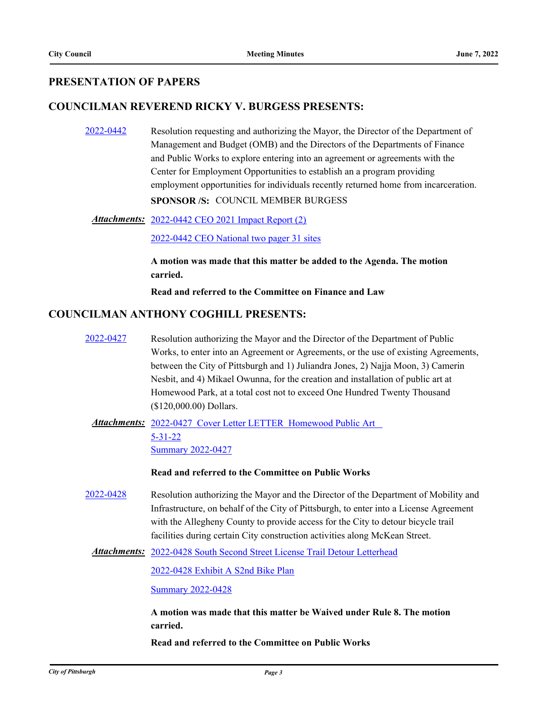## **PRESENTATION OF PAPERS**

### **COUNCILMAN REVEREND RICKY V. BURGESS PRESENTS:**

[2022-0442](http://pittsburgh.legistar.com/gateway.aspx?m=l&id=/matter.aspx?key=27836) Resolution requesting and authorizing the Mayor, the Director of the Department of Management and Budget (OMB) and the Directors of the Departments of Finance and Public Works to explore entering into an agreement or agreements with the Center for Employment Opportunities to establish an a program providing employment opportunities for individuals recently returned home from incarceration.

**SPONSOR /S:** COUNCIL MEMBER BURGESS

Attachments: [2022-0442 CEO 2021 Impact Report \(2\)](http://pittsburgh.legistar.com/gateway.aspx?M=F&ID=1c8798bc-af46-4055-a5cf-344af256face.pdf)

[2022-0442 CEO National two pager 31 sites](http://pittsburgh.legistar.com/gateway.aspx?M=F&ID=d12a6920-4877-497b-82c9-80586ab038ed.pdf)

**A motion was made that this matter be added to the Agenda. The motion carried.**

**Read and referred to the Committee on Finance and Law**

#### **COUNCILMAN ANTHONY COGHILL PRESENTS:**

[2022-0427](http://pittsburgh.legistar.com/gateway.aspx?m=l&id=/matter.aspx?key=27810) Resolution authorizing the Mayor and the Director of the Department of Public Works, to enter into an Agreement or Agreements, or the use of existing Agreements, between the City of Pittsburgh and 1) Juliandra Jones, 2) Najja Moon, 3) Camerin Nesbit, and 4) Mikael Owunna, for the creation and installation of public art at Homewood Park, at a total cost not to exceed One Hundred Twenty Thousand (\$120,000.00) Dollars.

Attachments: 2022-0427 Cover Letter LETTER Homewood Public Art 5-31-22 [Summary 2022-0427](http://pittsburgh.legistar.com/gateway.aspx?M=F&ID=c814863a-f0b1-4963-bb87-06342e668e6d.docx)

**Read and referred to the Committee on Public Works**

[2022-0428](http://pittsburgh.legistar.com/gateway.aspx?m=l&id=/matter.aspx?key=27811) Resolution authorizing the Mayor and the Director of the Department of Mobility and Infrastructure, on behalf of the City of Pittsburgh, to enter into a License Agreement with the Allegheny County to provide access for the City to detour bicycle trail facilities during certain City construction activities along McKean Street.

Attachments: [2022-0428 South Second Street License Trail Detour Letterhead](http://pittsburgh.legistar.com/gateway.aspx?M=F&ID=80da035b-6975-4900-8d8b-5760dfaf8c1f.pdf)

[2022-0428 Exhibit A S2nd Bike Plan](http://pittsburgh.legistar.com/gateway.aspx?M=F&ID=a777779d-1c5d-4bff-8a7d-0576c8faae73.pdf)

[Summary 2022-0428](http://pittsburgh.legistar.com/gateway.aspx?M=F&ID=0d21a143-f426-49c4-8151-74c5e123ffa0.docx)

**A motion was made that this matter be Waived under Rule 8. The motion carried.**

**Read and referred to the Committee on Public Works**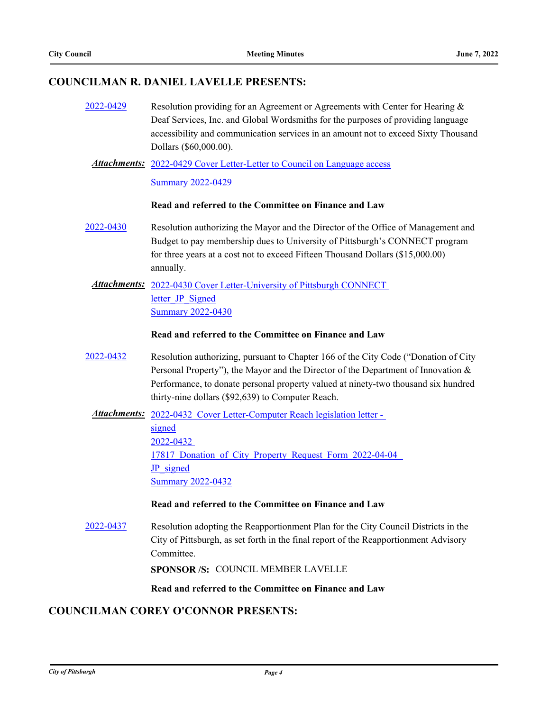## **COUNCILMAN R. DANIEL LAVELLE PRESENTS:**

- [2022-0429](http://pittsburgh.legistar.com/gateway.aspx?m=l&id=/matter.aspx?key=27812) Resolution providing for an Agreement or Agreements with Center for Hearing & Deaf Services, Inc. and Global Wordsmiths for the purposes of providing language accessibility and communication services in an amount not to exceed Sixty Thousand Dollars (\$60,000.00).
	- Attachments: [2022-0429 Cover Letter-Letter to Council on Language access](http://pittsburgh.legistar.com/gateway.aspx?M=F&ID=ede345cc-1e5d-4b8b-81c0-7f2bfca5f41c.pdf) [Summary 2022-0429](http://pittsburgh.legistar.com/gateway.aspx?M=F&ID=a8dec846-4d90-48c1-927e-ea94dab0e6ec.docx)

#### **Read and referred to the Committee on Finance and Law**

- [2022-0430](http://pittsburgh.legistar.com/gateway.aspx?m=l&id=/matter.aspx?key=27813) Resolution authorizing the Mayor and the Director of the Office of Management and Budget to pay membership dues to University of Pittsburgh's CONNECT program for three years at a cost not to exceed Fifteen Thousand Dollars (\$15,000.00) annually.
- Attachments: 2022-0430 Cover Letter-University of Pittsburgh CONNECT letter JP\_Signed [Summary 2022-0430](http://pittsburgh.legistar.com/gateway.aspx?M=F&ID=ff6002b8-64a7-42de-b16c-adf9b7ec4499.docx)

#### **Read and referred to the Committee on Finance and Law**

- [2022-0432](http://pittsburgh.legistar.com/gateway.aspx?m=l&id=/matter.aspx?key=27815) Resolution authorizing, pursuant to Chapter 166 of the City Code ("Donation of City Personal Property"), the Mayor and the Director of the Department of Innovation & Performance, to donate personal property valued at ninety-two thousand six hundred thirty-nine dollars (\$92,639) to Computer Reach.
	- Attachments: 2022-0432 Cover Letter-Computer Reach legislation letter -

signed 2022-0432 17817 Donation of City Property Request Form 2022-04-04 JP\_signed [Summary 2022-0432](http://pittsburgh.legistar.com/gateway.aspx?M=F&ID=02318f2e-f964-440e-b6ec-5f62b41ba414.docx)

#### **Read and referred to the Committee on Finance and Law**

[2022-0437](http://pittsburgh.legistar.com/gateway.aspx?m=l&id=/matter.aspx?key=27820) Resolution adopting the Reapportionment Plan for the City Council Districts in the City of Pittsburgh, as set forth in the final report of the Reapportionment Advisory Committee.

**SPONSOR /S:** COUNCIL MEMBER LAVELLE

**Read and referred to the Committee on Finance and Law**

#### **COUNCILMAN COREY O'CONNOR PRESENTS:**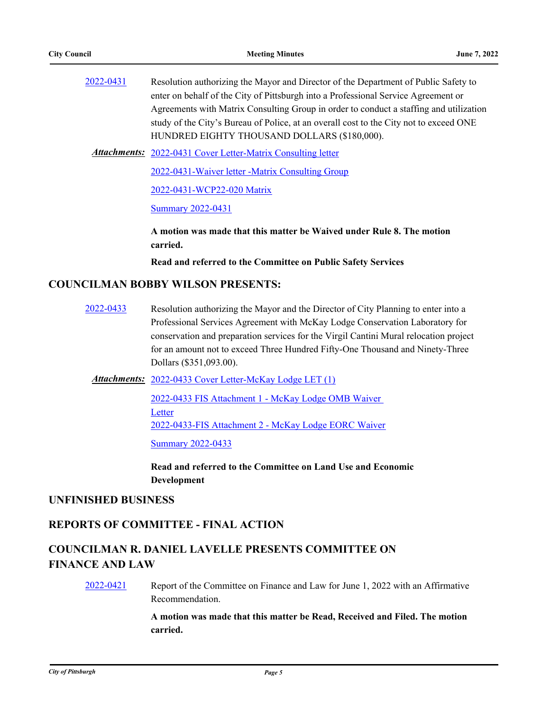| 2022-0431 | Resolution authorizing the Mayor and Director of the Department of Public Safety to    |
|-----------|----------------------------------------------------------------------------------------|
|           | enter on behalf of the City of Pittsburgh into a Professional Service Agreement or     |
|           | Agreements with Matrix Consulting Group in order to conduct a staffing and utilization |
|           | study of the City's Bureau of Police, at an overall cost to the City not to exceed ONE |
|           | HUNDRED EIGHTY THOUSAND DOLLARS (\$180,000).                                           |
|           |                                                                                        |

Attachments: [2022-0431 Cover Letter-Matrix Consulting letter](http://pittsburgh.legistar.com/gateway.aspx?M=F&ID=6d6da022-5314-4a55-90be-6b82c789c752.pdf)

[2022-0431-Waiver letter -Matrix Consulting Group](http://pittsburgh.legistar.com/gateway.aspx?M=F&ID=476e9cfe-45f0-466e-b5f4-d1c7f0430f0f.pdf)

[2022-0431-WCP22-020 Matrix](http://pittsburgh.legistar.com/gateway.aspx?M=F&ID=df28dc5a-e163-4b64-81a5-c1672651ce31.pdf)

[Summary 2022-0431](http://pittsburgh.legistar.com/gateway.aspx?M=F&ID=8742a570-375e-4645-9299-7cc546eeeb01.docx)

**A motion was made that this matter be Waived under Rule 8. The motion carried.**

**Read and referred to the Committee on Public Safety Services**

#### **COUNCILMAN BOBBY WILSON PRESENTS:**

[2022-0433](http://pittsburgh.legistar.com/gateway.aspx?m=l&id=/matter.aspx?key=27816) Resolution authorizing the Mayor and the Director of City Planning to enter into a Professional Services Agreement with McKay Lodge Conservation Laboratory for conservation and preparation services for the Virgil Cantini Mural relocation project for an amount not to exceed Three Hundred Fifty-One Thousand and Ninety-Three Dollars (\$351,093.00).

Attachments: [2022-0433 Cover Letter-McKay Lodge LET \(1\)](http://pittsburgh.legistar.com/gateway.aspx?M=F&ID=186d747e-6b64-4d0d-aad5-e157c613e2b6.docx)

[2022-0433 FIS Attachment 1 - McKay Lodge OMB Waiver](http://pittsburgh.legistar.com/gateway.aspx?M=F&ID=25495dcb-1019-48f6-b4de-a81b9148634e.pdf)  **Letter** [2022-0433-FIS Attachment 2 - McKay Lodge EORC Waiver](http://pittsburgh.legistar.com/gateway.aspx?M=F&ID=8325c439-e0e8-4e52-944b-d70781dcb9c7.pdf)

[Summary 2022-0433](http://pittsburgh.legistar.com/gateway.aspx?M=F&ID=f4921697-87b2-45a0-911e-55db66162754.docx)

**Read and referred to the Committee on Land Use and Economic Development**

#### **UNFINISHED BUSINESS**

### **REPORTS OF COMMITTEE - FINAL ACTION**

## **COUNCILMAN R. DANIEL LAVELLE PRESENTS COMMITTEE ON FINANCE AND LAW**

[2022-0421](http://pittsburgh.legistar.com/gateway.aspx?m=l&id=/matter.aspx?key=27804) Report of the Committee on Finance and Law for June 1, 2022 with an Affirmative Recommendation.

> **A motion was made that this matter be Read, Received and Filed. The motion carried.**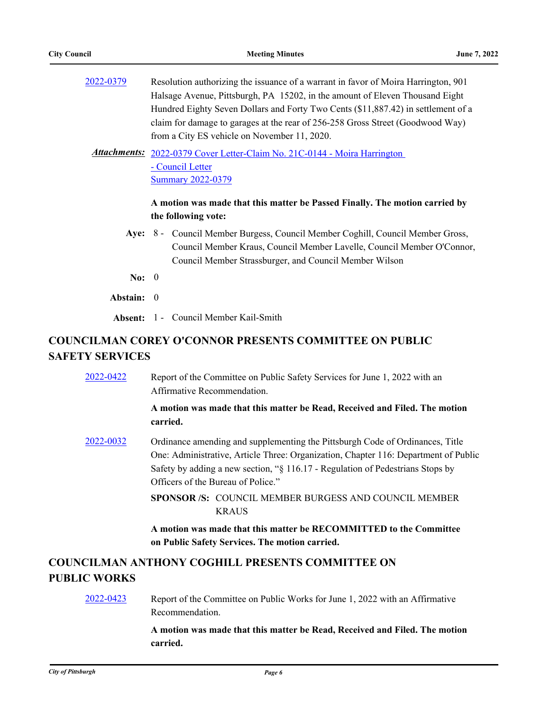| 2022-0379 | Resolution authorizing the issuance of a warrant in favor of Moira Harrington, 901 |
|-----------|------------------------------------------------------------------------------------|
|           | Halsage Avenue, Pittsburgh, PA 15202, in the amount of Eleven Thousand Eight       |
|           | Hundred Eighty Seven Dollars and Forty Two Cents (\$11,887.42) in settlement of a  |
|           | claim for damage to garages at the rear of 256-258 Gross Street (Goodwood Way)     |
|           | from a City ES vehicle on November 11, 2020.                                       |

Attachments: 2022-0379 Cover Letter-Claim No. 21C-0144 - Moira Harrington - Council Letter [Summary 2022-0379](http://pittsburgh.legistar.com/gateway.aspx?M=F&ID=3b5e9a3f-0d97-458b-bbdc-55ad1907a5e7.docx)

#### **A motion was made that this matter be Passed Finally. The motion carried by the following vote:**

- Aye: 8 Council Member Burgess, Council Member Coghill, Council Member Gross, Council Member Kraus, Council Member Lavelle, Council Member O'Connor, Council Member Strassburger, and Council Member Wilson
- **No:** 0
- **Abstain:** 0

**Absent:** 1 - Council Member Kail-Smith

# **COUNCILMAN COREY O'CONNOR PRESENTS COMMITTEE ON PUBLIC SAFETY SERVICES**

| 2022-0422           | Report of the Committee on Public Safety Services for June 1, 2022 with an<br>Affirmative Recommendation.                                                                                                                                                                                    |
|---------------------|----------------------------------------------------------------------------------------------------------------------------------------------------------------------------------------------------------------------------------------------------------------------------------------------|
|                     | A motion was made that this matter be Read, Received and Filed. The motion<br>carried.                                                                                                                                                                                                       |
| 2022-0032           | Ordinance amending and supplementing the Pittsburgh Code of Ordinances, Title<br>One: Administrative, Article Three: Organization, Chapter 116: Department of Public<br>Safety by adding a new section, "§ 116.17 - Regulation of Pedestrians Stops by<br>Officers of the Bureau of Police." |
|                     | <b>SPONSOR /S: COUNCIL MEMBER BURGESS AND COUNCIL MEMBER</b><br><b>KRAUS</b>                                                                                                                                                                                                                 |
|                     | A motion was made that this matter be RECOMMITTED to the Committee<br>on Public Safety Services. The motion carried.                                                                                                                                                                         |
| <b>PUBLIC WORKS</b> | <b>COUNCILMAN ANTHONY COGHILL PRESENTS COMMITTEE ON</b>                                                                                                                                                                                                                                      |
| 2022-0423           | Report of the Committee on Public Works for June 1, 2022 with an Affirmative<br>Recommendation.                                                                                                                                                                                              |
|                     | $\mathcal{L} = \mathcal{L}$ . The contract of the contract of the contract of $\mathcal{L} = \mathcal{L}$                                                                                                                                                                                    |

**A motion was made that this matter be Read, Received and Filed. The motion carried.**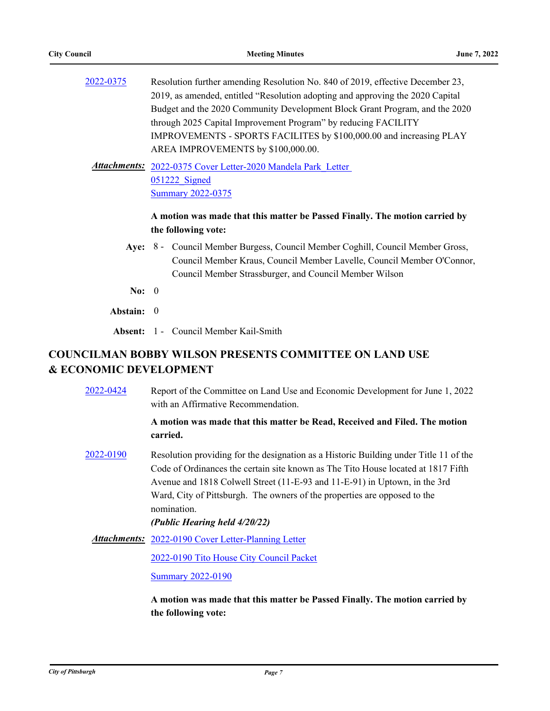| Resolution further amending Resolution No. 840 of 2019, effective December 23, |
|--------------------------------------------------------------------------------|
| 2019, as amended, entitled "Resolution adopting and approving the 2020 Capital |
| Budget and the 2020 Community Development Block Grant Program, and the 2020    |
| through 2025 Capital Improvement Program" by reducing FACILITY                 |
| IMPROVEMENTS - SPORTS FACILITES by \$100,000.00 and increasing PLAY            |
| AREA IMPROVEMENTS by \$100,000.00.                                             |
|                                                                                |

Attachments: 2022-0375 Cover Letter-2020 Mandela Park Letter 051222\_Signed [Summary 2022-0375](http://pittsburgh.legistar.com/gateway.aspx?M=F&ID=2d41d15b-48d7-4ef7-80d2-a08c12ddac0c.docx)

#### **A motion was made that this matter be Passed Finally. The motion carried by the following vote:**

- Aye: 8 Council Member Burgess, Council Member Coghill, Council Member Gross, Council Member Kraus, Council Member Lavelle, Council Member O'Connor, Council Member Strassburger, and Council Member Wilson
- **No:** 0
- **Abstain:** 0

**Absent:** 1 - Council Member Kail-Smith

## **COUNCILMAN BOBBY WILSON PRESENTS COMMITTEE ON LAND USE & ECONOMIC DEVELOPMENT**

[2022-0424](http://pittsburgh.legistar.com/gateway.aspx?m=l&id=/matter.aspx?key=27807) Report of the Committee on Land Use and Economic Development for June 1, 2022 with an Affirmative Recommendation.

> **A motion was made that this matter be Read, Received and Filed. The motion carried.**

[2022-0190](http://pittsburgh.legistar.com/gateway.aspx?m=l&id=/matter.aspx?key=27538) Resolution providing for the designation as a Historic Building under Title 11 of the Code of Ordinances the certain site known as The Tito House located at 1817 Fifth Avenue and 1818 Colwell Street (11-E-93 and 11-E-91) in Uptown, in the 3rd Ward, City of Pittsburgh. The owners of the properties are opposed to the nomination.

#### *(Public Hearing held 4/20/22)*

Attachments: [2022-0190 Cover Letter-Planning Letter](http://pittsburgh.legistar.com/gateway.aspx?M=F&ID=ea69be8a-1a55-4cd8-9573-c366d85c4191.pdf)

[2022-0190 Tito House City Council Packet](http://pittsburgh.legistar.com/gateway.aspx?M=F&ID=5083a1df-450c-4398-9469-06ab33a577c6.pdf)

[Summary 2022-0190](http://pittsburgh.legistar.com/gateway.aspx?M=F&ID=01e9436c-ad6c-4347-b47d-1fae6eb11b28.docx)

**A motion was made that this matter be Passed Finally. The motion carried by the following vote:**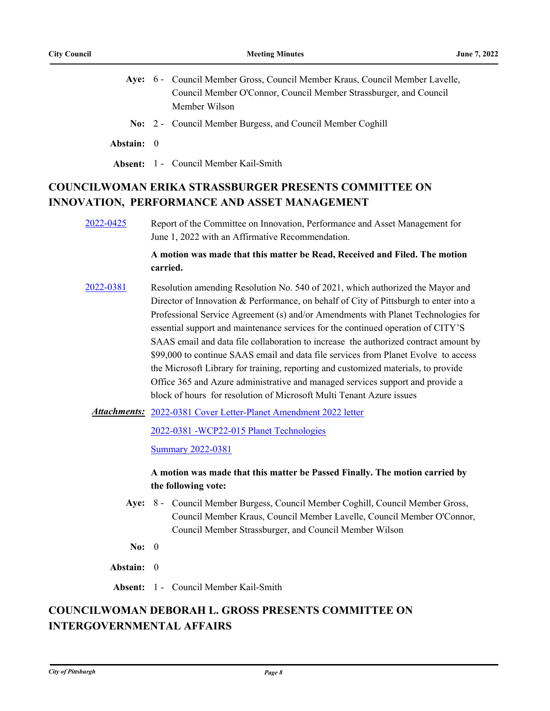- Aye: 6 Council Member Gross, Council Member Kraus, Council Member Lavelle, Council Member O'Connor, Council Member Strassburger, and Council Member Wilson
- **No:** 2 Council Member Burgess, and Council Member Coghill
- **Abstain:** 0
- **Absent:** 1 Council Member Kail-Smith

# **COUNCILWOMAN ERIKA STRASSBURGER PRESENTS COMMITTEE ON INNOVATION, PERFORMANCE AND ASSET MANAGEMENT**

[2022-0425](http://pittsburgh.legistar.com/gateway.aspx?m=l&id=/matter.aspx?key=27808) Report of the Committee on Innovation, Performance and Asset Management for June 1, 2022 with an Affirmative Recommendation.

#### **A motion was made that this matter be Read, Received and Filed. The motion carried.**

- [2022-0381](http://pittsburgh.legistar.com/gateway.aspx?m=l&id=/matter.aspx?key=27763) Resolution amending Resolution No. 540 of 2021, which authorized the Mayor and Director of Innovation & Performance, on behalf of City of Pittsburgh to enter into a Professional Service Agreement (s) and/or Amendments with Planet Technologies for essential support and maintenance services for the continued operation of CITY'S SAAS email and data file collaboration to increase the authorized contract amount by \$99,000 to continue SAAS email and data file services from Planet Evolve to access the Microsoft Library for training, reporting and customized materials, to provide Office 365 and Azure administrative and managed services support and provide a block of hours for resolution of Microsoft Multi Tenant Azure issues
	- [2022-0381 Cover Letter-Planet Amendment 2022 letter](http://pittsburgh.legistar.com/gateway.aspx?M=F&ID=0ac25469-e7e4-40a1-b627-317dd88d9723.docx) *Attachments:*

[2022-0381 -WCP22-015 Planet Technologies](http://pittsburgh.legistar.com/gateway.aspx?M=F&ID=25869456-af19-463f-a03b-1e2f0b293fac.pdf)

**[Summary 2022-0381](http://pittsburgh.legistar.com/gateway.aspx?M=F&ID=729c3ea5-c536-4918-987e-62d61e7dd76b.docx)** 

#### **A motion was made that this matter be Passed Finally. The motion carried by the following vote:**

- Aye: 8 Council Member Burgess, Council Member Coghill, Council Member Gross, Council Member Kraus, Council Member Lavelle, Council Member O'Connor, Council Member Strassburger, and Council Member Wilson
- **No:** 0
- **Abstain:** 0
- **Absent:** 1 Council Member Kail-Smith

# **COUNCILWOMAN DEBORAH L. GROSS PRESENTS COMMITTEE ON INTERGOVERNMENTAL AFFAIRS**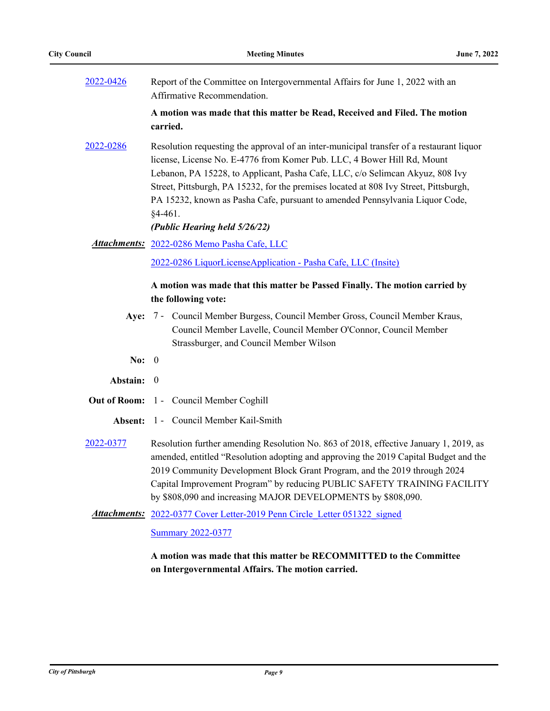| 2022-0426           | Report of the Committee on Intergovernmental Affairs for June 1, 2022 with an<br>Affirmative Recommendation.                                                                                                                                                                                                                                                                                                                               |
|---------------------|--------------------------------------------------------------------------------------------------------------------------------------------------------------------------------------------------------------------------------------------------------------------------------------------------------------------------------------------------------------------------------------------------------------------------------------------|
|                     | A motion was made that this matter be Read, Received and Filed. The motion<br>carried.                                                                                                                                                                                                                                                                                                                                                     |
| 2022-0286           | Resolution requesting the approval of an inter-municipal transfer of a restaurant liquor<br>license, License No. E-4776 from Komer Pub. LLC, 4 Bower Hill Rd, Mount<br>Lebanon, PA 15228, to Applicant, Pasha Cafe, LLC, c/o Selimcan Akyuz, 808 Ivy<br>Street, Pittsburgh, PA 15232, for the premises located at 808 Ivy Street, Pittsburgh,<br>PA 15232, known as Pasha Cafe, pursuant to amended Pennsylvania Liquor Code,<br>$§4-461.$ |
|                     | (Public Hearing held 5/26/22)                                                                                                                                                                                                                                                                                                                                                                                                              |
|                     | <b>Attachments: 2022-0286 Memo Pasha Cafe, LLC</b>                                                                                                                                                                                                                                                                                                                                                                                         |
|                     | 2022-0286 LiquorLicenseApplication - Pasha Cafe, LLC (Insite)                                                                                                                                                                                                                                                                                                                                                                              |
|                     | A motion was made that this matter be Passed Finally. The motion carried by<br>the following vote:                                                                                                                                                                                                                                                                                                                                         |
|                     |                                                                                                                                                                                                                                                                                                                                                                                                                                            |
| Aye:                | 7 - Council Member Burgess, Council Member Gross, Council Member Kraus,<br>Council Member Lavelle, Council Member O'Connor, Council Member<br>Strassburger, and Council Member Wilson                                                                                                                                                                                                                                                      |
| No:                 | $\theta$                                                                                                                                                                                                                                                                                                                                                                                                                                   |
| Abstain:            | $\theta$                                                                                                                                                                                                                                                                                                                                                                                                                                   |
| <b>Out of Room:</b> | 1 - Council Member Coghill                                                                                                                                                                                                                                                                                                                                                                                                                 |
| Absent:             | 1 - Council Member Kail-Smith                                                                                                                                                                                                                                                                                                                                                                                                              |
| 2022-0377           | Resolution further amending Resolution No. 863 of 2018, effective January 1, 2019, as<br>amended, entitled "Resolution adopting and approving the 2019 Capital Budget and the<br>2019 Community Development Block Grant Program, and the 2019 through 2024<br>Capital Improvement Program" by reducing PUBLIC SAFETY TRAINING FACILITY<br>by \$808,090 and increasing MAJOR DEVELOPMENTS by \$808,090.                                     |
|                     | <b>Attachments:</b> 2022-0377 Cover Letter-2019 Penn Circle Letter 051322 signed                                                                                                                                                                                                                                                                                                                                                           |
|                     | <b>Summary 2022-0377</b>                                                                                                                                                                                                                                                                                                                                                                                                                   |

**A motion was made that this matter be RECOMMITTED to the Committee on Intergovernmental Affairs. The motion carried.**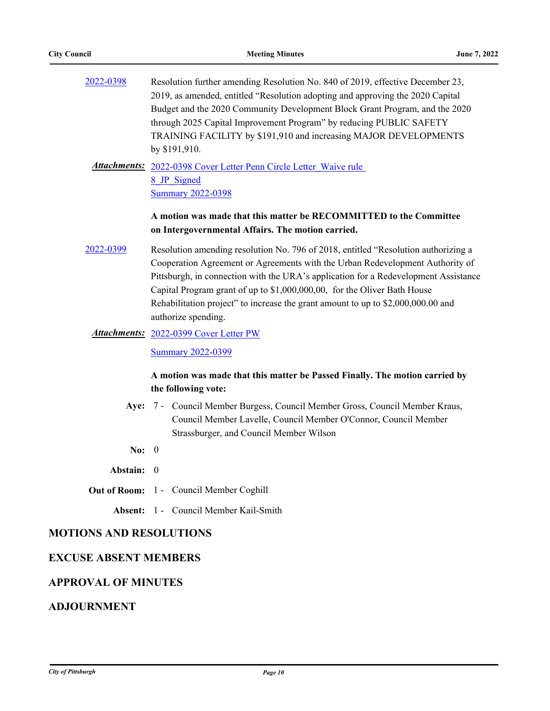| 2022-0398 | Resolution further amending Resolution No. 840 of 2019, effective December 23, |
|-----------|--------------------------------------------------------------------------------|
|           | 2019, as amended, entitled "Resolution adopting and approving the 2020 Capital |
|           | Budget and the 2020 Community Development Block Grant Program, and the 2020    |
|           | through 2025 Capital Improvement Program" by reducing PUBLIC SAFETY            |
|           | TRAINING FACILITY by \$191,910 and increasing MAJOR DEVELOPMENTS               |
|           | by $$191,910$ .                                                                |
|           |                                                                                |

Attachments: 2022-0398 Cover Letter Penn Circle Letter Waive rule 8\_JP\_Signed [Summary 2022-0398](http://pittsburgh.legistar.com/gateway.aspx?M=F&ID=af12b834-849a-47d6-b005-b21de858404c.docx)

#### **A motion was made that this matter be RECOMMITTED to the Committee on Intergovernmental Affairs. The motion carried.**

- [2022-0399](http://pittsburgh.legistar.com/gateway.aspx?m=l&id=/matter.aspx?key=27782) Resolution amending resolution No. 796 of 2018, entitled "Resolution authorizing a Cooperation Agreement or Agreements with the Urban Redevelopment Authority of Pittsburgh, in connection with the URA's application for a Redevelopment Assistance Capital Program grant of up to \$1,000,000,00, for the Oliver Bath House Rehabilitation project" to increase the grant amount to up to \$2,000,000.00 and authorize spending.
- Attachments: [2022-0399 Cover Letter PW](http://pittsburgh.legistar.com/gateway.aspx?M=F&ID=2eaba172-8ab1-4dea-abcd-91f1830304bf.PDF)

**[Summary 2022-0399](http://pittsburgh.legistar.com/gateway.aspx?M=F&ID=9138f6f8-e7b6-4917-aa37-228de68a71ff.docx)** 

#### **A motion was made that this matter be Passed Finally. The motion carried by the following vote:**

- Aye: 7 Council Member Burgess, Council Member Gross, Council Member Kraus, Council Member Lavelle, Council Member O'Connor, Council Member Strassburger, and Council Member Wilson
- **No:** 0
- **Abstain:** 0
- **Out of Room:** 1 Council Member Coghill

**Absent:** 1 - Council Member Kail-Smith

### **MOTIONS AND RESOLUTIONS**

#### **EXCUSE ABSENT MEMBERS**

#### **APPROVAL OF MINUTES**

## **ADJOURNMENT**